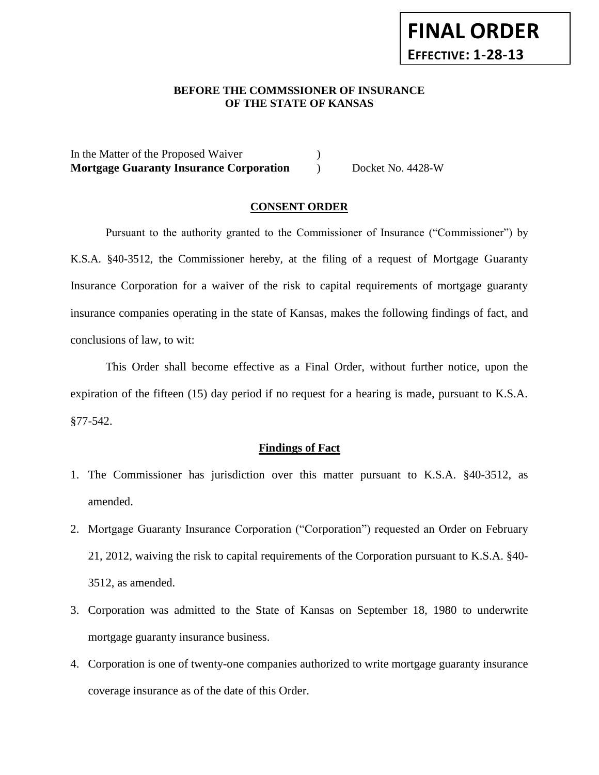#### **BEFORE THE COMMSSIONER OF INSURANCE OF THE STATE OF KANSAS**  *-12*

**FINAL ORDER**

**EFFECTIVE: 1-28-13**

In the Matter of the Proposed Waiver (1) **Mortgage Guaranty Insurance Corporation** ) Docket No. 4428-W

## **CONSENT ORDER**

Pursuant to the authority granted to the Commissioner of Insurance ("Commissioner") by K.S.A. §40-3512, the Commissioner hereby, at the filing of a request of Mortgage Guaranty Insurance Corporation for a waiver of the risk to capital requirements of mortgage guaranty insurance companies operating in the state of Kansas, makes the following findings of fact, and conclusions of law, to wit:

This Order shall become effective as a Final Order, without further notice, upon the expiration of the fifteen (15) day period if no request for a hearing is made, pursuant to K.S.A. §77-542.

#### **Findings of Fact**

- 1. The Commissioner has jurisdiction over this matter pursuant to K.S.A. §40-3512, as amended.
- 2. Mortgage Guaranty Insurance Corporation ("Corporation") requested an Order on February 21, 2012, waiving the risk to capital requirements of the Corporation pursuant to K.S.A. §40- 3512, as amended.
- 3. Corporation was admitted to the State of Kansas on September 18, 1980 to underwrite mortgage guaranty insurance business.
- 4. Corporation is one of twenty-one companies authorized to write mortgage guaranty insurance coverage insurance as of the date of this Order.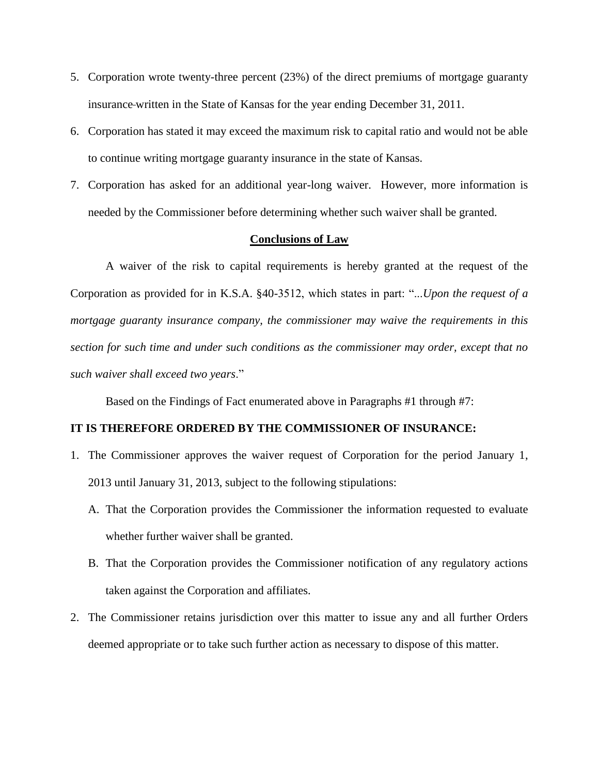- 5. Corporation wrote twenty-three percent (23%) of the direct premiums of mortgage guaranty insurance written in the State of Kansas for the year ending December 31, 2011.
- 6. Corporation has stated it may exceed the maximum risk to capital ratio and would not be able to continue writing mortgage guaranty insurance in the state of Kansas.
- 7. Corporation has asked for an additional year-long waiver. However, more information is needed by the Commissioner before determining whether such waiver shall be granted.

### **Conclusions of Law**

A waiver of the risk to capital requirements is hereby granted at the request of the Corporation as provided for in K.S.A. §40-3512, which states in part: "...*Upon the request of a mortgage guaranty insurance company, the commissioner may waive the requirements in this section for such time and under such conditions as the commissioner may order, except that no such waiver shall exceed two years*."

Based on the Findings of Fact enumerated above in Paragraphs #1 through #7:

## **IT IS THEREFORE ORDERED BY THE COMMISSIONER OF INSURANCE:**

- 1. The Commissioner approves the waiver request of Corporation for the period January 1, 2013 until January 31, 2013, subject to the following stipulations:
	- A. That the Corporation provides the Commissioner the information requested to evaluate whether further waiver shall be granted.
	- B. That the Corporation provides the Commissioner notification of any regulatory actions taken against the Corporation and affiliates.
- 2. The Commissioner retains jurisdiction over this matter to issue any and all further Orders deemed appropriate or to take such further action as necessary to dispose of this matter.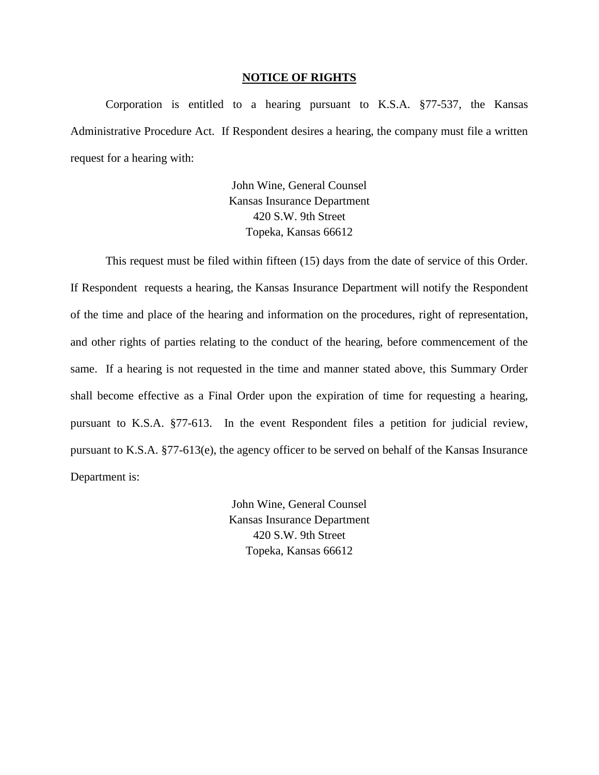#### **NOTICE OF RIGHTS**

Corporation is entitled to a hearing pursuant to K.S.A. §77-537, the Kansas Administrative Procedure Act. If Respondent desires a hearing, the company must file a written request for a hearing with:

> John Wine, General Counsel Kansas Insurance Department 420 S.W. 9th Street Topeka, Kansas 66612

This request must be filed within fifteen (15) days from the date of service of this Order. If Respondent requests a hearing, the Kansas Insurance Department will notify the Respondent of the time and place of the hearing and information on the procedures, right of representation, and other rights of parties relating to the conduct of the hearing, before commencement of the same. If a hearing is not requested in the time and manner stated above, this Summary Order shall become effective as a Final Order upon the expiration of time for requesting a hearing, pursuant to K.S.A. §77-613. In the event Respondent files a petition for judicial review, pursuant to K.S.A. §77-613(e), the agency officer to be served on behalf of the Kansas Insurance Department is:

> John Wine, General Counsel Kansas Insurance Department 420 S.W. 9th Street Topeka, Kansas 66612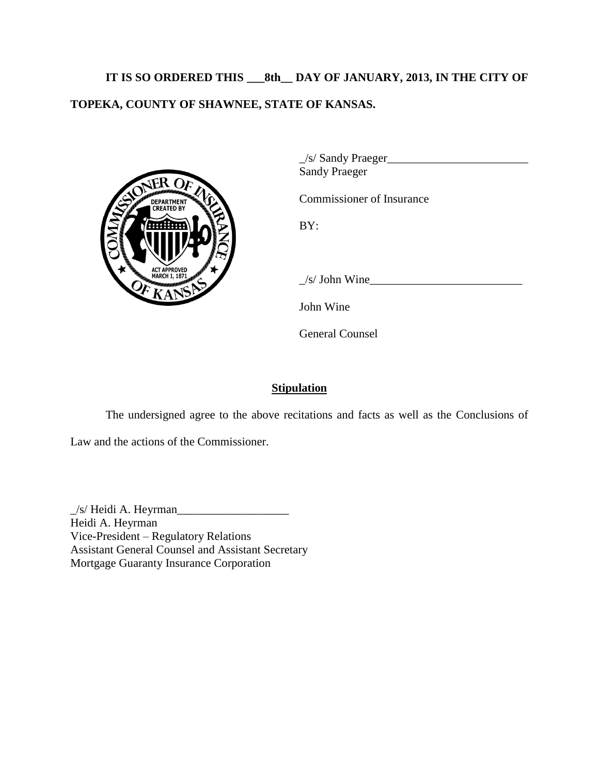# **IT IS SO ORDERED THIS \_\_\_8th\_\_ DAY OF JANUARY, 2013, IN THE CITY OF TOPEKA, COUNTY OF SHAWNEE, STATE OF KANSAS.**



\_/s/ Sandy Praeger\_\_\_\_\_\_\_\_\_\_\_\_\_\_\_\_\_\_\_\_\_\_\_\_ Sandy Praeger

Commissioner of Insurance

BY:

 $\angle$ s/ John Wine $\angle$ 

John Wine

General Counsel

## **Stipulation**

The undersigned agree to the above recitations and facts as well as the Conclusions of

Law and the actions of the Commissioner.

 $\angle$ s/ Heidi A. Heyrman $\angle$ Heidi A. Heyrman Vice-President – Regulatory Relations Assistant General Counsel and Assistant Secretary Mortgage Guaranty Insurance Corporation